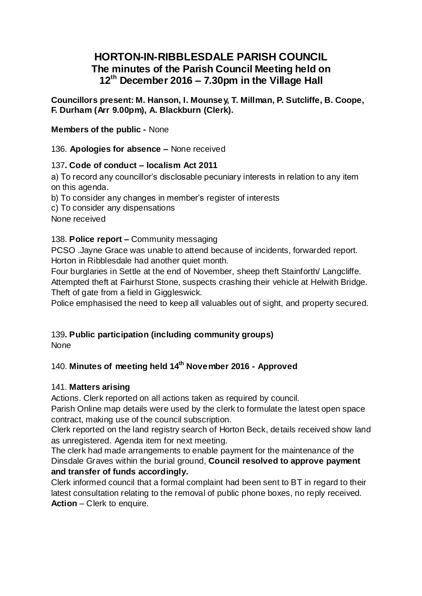# **HORTON-IN-RIBBLESDALE PARISH COUNCIL The minutes of the Parish Council Meeting held on 12th December 2016 – 7.30pm in the Village Hall**

**Councillors present: M. Hanson, I. Mounsey, T. Millman, P. Sutcliffe, B. Coope, F. Durham (Arr 9.00pm), A. Blackburn (Clerk).**

**Members of the public -** None

136. **Apologies for absence –** None received

## 137**. Code of conduct – localism Act 2011**

a) To record any councillor's disclosable pecuniary interests in relation to any item on this agenda.

b) To consider any changes in member's register of interests

c) To consider any dispensations

None received

#### 138. **Police report –** Community messaging

PCSO .Jayne Grace was unable to attend because of incidents, forwarded report. Horton in Ribblesdale had another quiet month.

Four burglaries in Settle at the end of November, sheep theft Stainforth/ Langcliffe. Attempted theft at Fairhurst Stone, suspects crashing their vehicle at Helwith Bridge. Theft of gate from a field in Giggleswick.

Police emphasised the need to keep all valuables out of sight, and property secured.

## 139**. Public participation (including community groups)** None

# 140. **Minutes of meeting held 14 th November 2016 - Approved**

#### 141. **Matters arising**

Actions. Clerk reported on all actions taken as required by council.

Parish Online map details were used by the clerk to formulate the latest open space contract, making use of the council subscription.

Clerk reported on the land registry search of Horton Beck, details received show land as unregistered. Agenda item for next meeting.

The clerk had made arrangements to enable payment for the maintenance of the Dinsdale Graves within the burial ground, **Council resolved to approve payment and transfer of funds accordingly.**

Clerk informed council that a formal complaint had been sent to BT in regard to their latest consultation relating to the removal of public phone boxes, no reply received. **Action** – Clerk to enquire.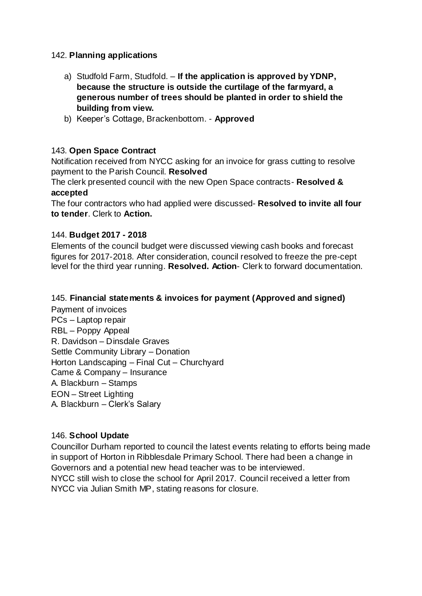#### 142. **Planning applications**

- a) Studfold Farm, Studfold. **If the application is approved by YDNP, because the structure is outside the curtilage of the farmyard, a generous number of trees should be planted in order to shield the building from view.**
- b) Keeper's Cottage, Brackenbottom. **Approved**

#### 143. **Open Space Contract**

Notification received from NYCC asking for an invoice for grass cutting to resolve payment to the Parish Council. **Resolved**

The clerk presented council with the new Open Space contracts- **Resolved & accepted**

The four contractors who had applied were discussed- **Resolved to invite all four to tender**. Clerk to **Action.**

#### 144. **Budget 2017 - 2018**

Elements of the council budget were discussed viewing cash books and forecast figures for 2017-2018. After consideration, council resolved to freeze the pre-cept level for the third year running. **Resolved. Action**- Clerk to forward documentation.

#### 145. **Financial statements & invoices for payment (Approved and signed)**

Payment of invoices PCs – Laptop repair RBL – Poppy Appeal R. Davidson – Dinsdale Graves Settle Community Library – Donation Horton Landscaping – Final Cut – Churchyard Came & Company – Insurance A. Blackburn – Stamps EON – Street Lighting A. Blackburn – Clerk's Salary

#### 146. **School Update**

Councillor Durham reported to council the latest events relating to efforts being made in support of Horton in Ribblesdale Primary School. There had been a change in Governors and a potential new head teacher was to be interviewed. NYCC still wish to close the school for April 2017. Council received a letter from NYCC via Julian Smith MP, stating reasons for closure.